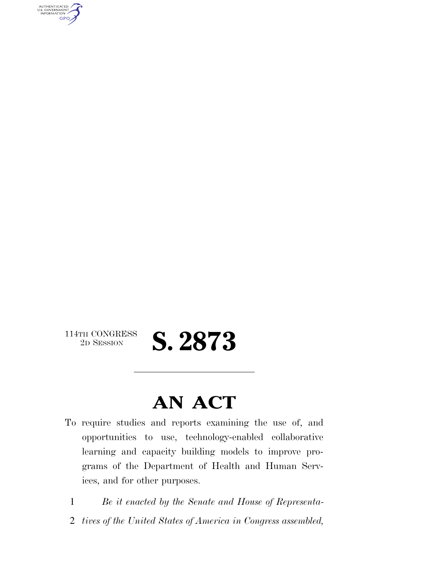AUTHENTICATED<br>U.S. GOVERNMENT<br>INFORMATION **GPO** 

### 114TH CONGRESS<br>2D SESSION

## 2D SESSION **S. 2873**

### **AN ACT**

- To require studies and reports examining the use of, and opportunities to use, technology-enabled collaborative learning and capacity building models to improve programs of the Department of Health and Human Services, and for other purposes.
	- 1 *Be it enacted by the Senate and House of Representa-*
- 2 *tives of the United States of America in Congress assembled,*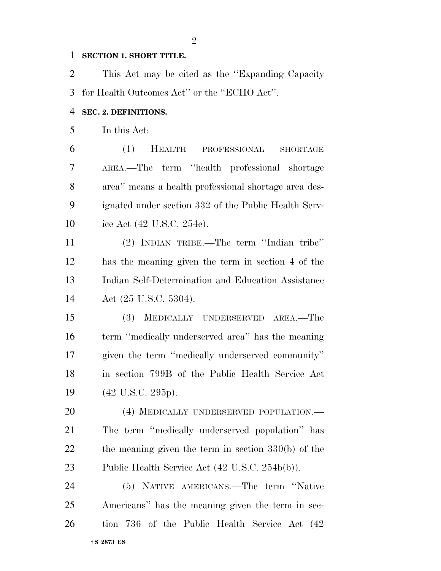#### **SECTION 1. SHORT TITLE.**

 This Act may be cited as the ''Expanding Capacity for Health Outcomes Act'' or the ''ECHO Act''.

#### **SEC. 2. DEFINITIONS.**

In this Act:

 (1) HEALTH PROFESSIONAL SHORTAGE AREA.—The term ''health professional shortage area'' means a health professional shortage area des- ignated under section 332 of the Public Health Serv-ice Act (42 U.S.C. 254e).

 (2) INDIAN TRIBE.—The term ''Indian tribe'' has the meaning given the term in section 4 of the Indian Self-Determination and Education Assistance Act (25 U.S.C. 5304).

 (3) MEDICALLY UNDERSERVED AREA.—The term ''medically underserved area'' has the meaning given the term ''medically underserved community'' in section 799B of the Public Health Service Act (42 U.S.C. 295p).

 (4) MEDICALLY UNDERSERVED POPULATION.— The term ''medically underserved population'' has the meaning given the term in section 330(b) of the Public Health Service Act (42 U.S.C. 254b(b)).

†**S 2873 ES** (5) NATIVE AMERICANS.—The term ''Native Americans'' has the meaning given the term in sec-tion 736 of the Public Health Service Act (42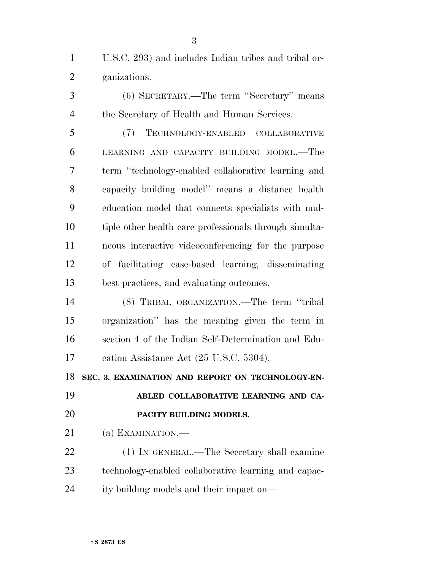U.S.C. 293) and includes Indian tribes and tribal or-ganizations.

 (6) SECRETARY.—The term ''Secretary'' means the Secretary of Health and Human Services.

 (7) TECHNOLOGY-ENABLED COLLABORATIVE LEARNING AND CAPACITY BUILDING MODEL.—The term ''technology-enabled collaborative learning and capacity building model'' means a distance health education model that connects specialists with mul- tiple other health care professionals through simulta- neous interactive videoconferencing for the purpose of facilitating case-based learning, disseminating best practices, and evaluating outcomes.

 (8) TRIBAL ORGANIZATION.—The term ''tribal organization'' has the meaning given the term in section 4 of the Indian Self-Determination and Edu-cation Assistance Act (25 U.S.C. 5304).

**SEC. 3. EXAMINATION AND REPORT ON TECHNOLOGY-EN-**

 **ABLED COLLABORATIVE LEARNING AND CA-PACITY BUILDING MODELS.** 

(a) EXAMINATION.—

 (1) IN GENERAL.—The Secretary shall examine technology-enabled collaborative learning and capac-ity building models and their impact on—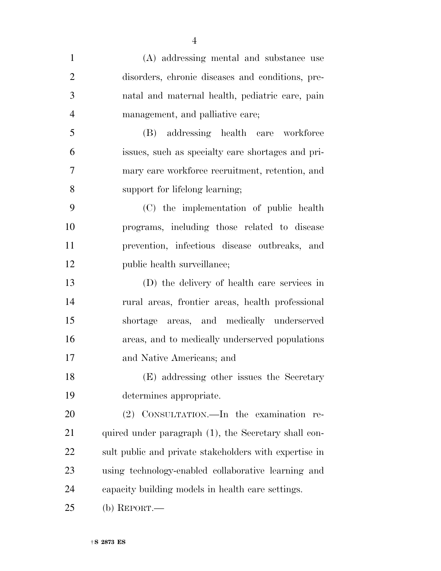| $\mathbf{1}$   | (A) addressing mental and substance use                |
|----------------|--------------------------------------------------------|
| $\overline{2}$ | disorders, chronic diseases and conditions, pre-       |
| 3              | natal and maternal health, pediatric care, pain        |
| $\overline{4}$ | management, and palliative care;                       |
| 5              | (B) addressing health care workforce                   |
| 6              | issues, such as specialty care shortages and pri-      |
| 7              | mary care workforce recruitment, retention, and        |
| 8              | support for lifelong learning;                         |
| 9              | (C) the implementation of public health                |
| 10             | programs, including those related to disease           |
| 11             | prevention, infectious disease outbreaks, and          |
| 12             | public health surveillance;                            |
| 13             | (D) the delivery of health care services in            |
| 14             | rural areas, frontier areas, health professional       |
| 15             | shortage areas, and medically underserved              |
| 16             | areas, and to medically underserved populations        |
| 17             | and Native Americans; and                              |
| 18             | (E) addressing other issues the Secretary              |
| 19             | determines appropriate.                                |
| 20             | (2) CONSULTATION.—In the examination re-               |
| 21             | quired under paragraph (1), the Secretary shall con-   |
| 22             | sult public and private stakeholders with expertise in |
| 23             | using technology-enabled collaborative learning and    |
| 24             | capacity building models in health care settings.      |
| 25             | (b) REPORT.—                                           |

†**S 2873 ES**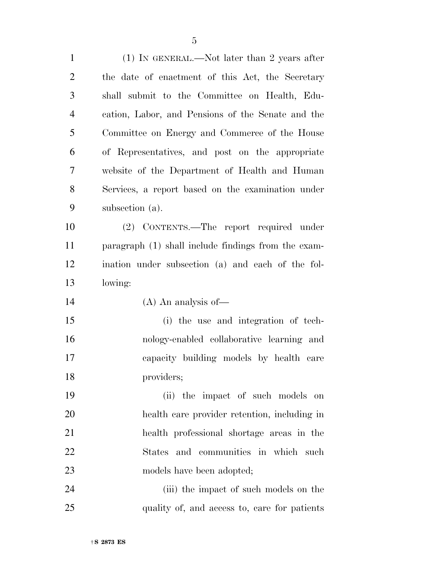(1) IN GENERAL.—Not later than 2 years after the date of enactment of this Act, the Secretary shall submit to the Committee on Health, Edu- cation, Labor, and Pensions of the Senate and the Committee on Energy and Commerce of the House of Representatives, and post on the appropriate website of the Department of Health and Human Services, a report based on the examination under subsection (a).

 (2) CONTENTS.—The report required under paragraph (1) shall include findings from the exam- ination under subsection (a) and each of the fol-lowing:

(A) An analysis of—

 (i) the use and integration of tech- nology-enabled collaborative learning and capacity building models by health care providers;

 (ii) the impact of such models on health care provider retention, including in health professional shortage areas in the States and communities in which such 23 models have been adopted;

24 (iii) the impact of such models on the quality of, and access to, care for patients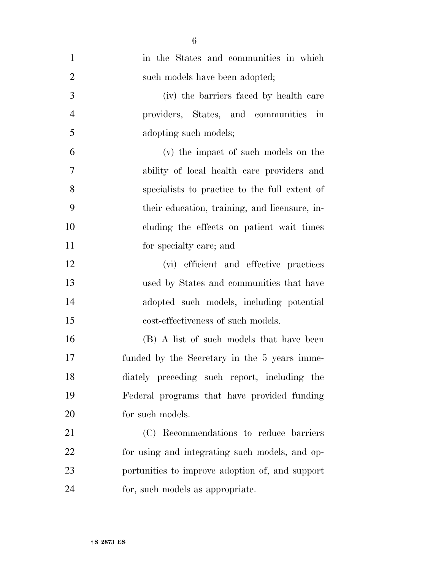| $\mathbf{1}$   | in the States and communities in which          |
|----------------|-------------------------------------------------|
| $\overline{2}$ | such models have been adopted;                  |
| 3              | (iv) the barriers faced by health care          |
| $\overline{4}$ | providers, States, and communities<br>in        |
| 5              | adopting such models;                           |
| 6              | (v) the impact of such models on the            |
| 7              | ability of local health care providers and      |
| 8              | specialists to practice to the full extent of   |
| 9              | their education, training, and licensure, in-   |
| 10             | cluding the effects on patient wait times       |
| 11             | for specialty care; and                         |
| 12             | (vi) efficient and effective practices          |
| 13             | used by States and communities that have        |
| 14             | adopted such models, including potential        |
| 15             | cost-effectiveness of such models.              |
| 16             | (B) A list of such models that have been        |
| 17             | funded by the Secretary in the 5 years imme-    |
| 18             | diately preceding such report, including the    |
| 19             | Federal programs that have provided funding     |
| 20             | for such models.                                |
| 21             | (C) Recommendations to reduce barriers          |
| 22             | for using and integrating such models, and op-  |
| 23             | portunities to improve adoption of, and support |
| 24             | for, such models as appropriate.                |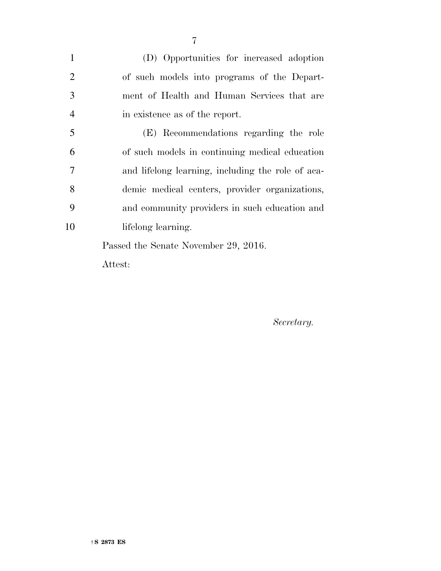| $\mathbf{1}$   | (D) Opportunities for increased adoption          |
|----------------|---------------------------------------------------|
| $\overline{2}$ | of such models into programs of the Depart-       |
| 3              | ment of Health and Human Services that are        |
| $\overline{4}$ | in existence as of the report.                    |
| 5              | (E) Recommendations regarding the role            |
| 6              | of such models in continuing medical education    |
| 7              | and lifelong learning, including the role of aca- |
| 8              | demic medical centers, provider organizations,    |
| 9              | and community providers in such education and     |
| 10             | lifelong learning.                                |
|                | Passed the Senate November 29, 2016.              |
|                | Attest:                                           |

*Secretary.*